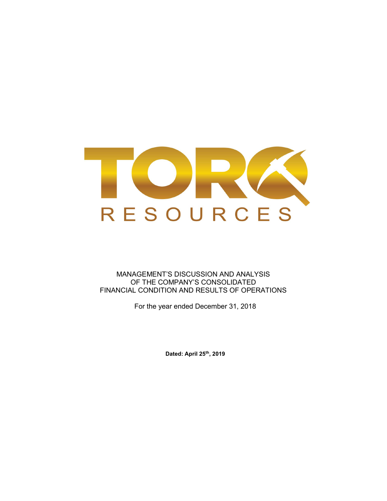

MANAGEMENT'S DISCUSSION AND ANALYSIS OF THE COMPANY'S CONSOLIDATED FINANCIAL CONDITION AND RESULTS OF OPERATIONS

For the year ended December 31, 2018

Dated: April 25<sup>th</sup>, 2019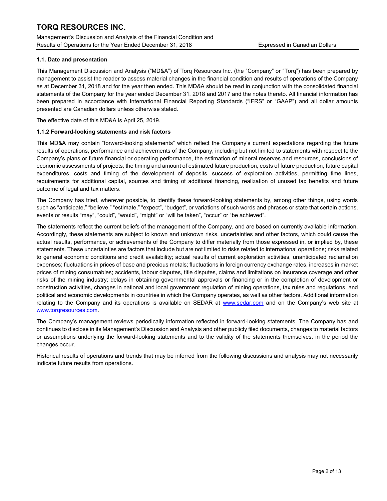Management's Discussion and Analysis of the Financial Condition and Results of Operations for the Year Ended December 31, 2018 Expressed in Canadian Dollars

# 1.1. Date and presentation

This Management Discussion and Analysis ("MD&A") of Torq Resources Inc. (the "Company" or "Torq") has been prepared by management to assist the reader to assess material changes in the financial condition and results of operations of the Company as at December 31, 2018 and for the year then ended. This MD&A should be read in conjunction with the consolidated financial statements of the Company for the year ended December 31, 2018 and 2017 and the notes thereto. All financial information has been prepared in accordance with International Financial Reporting Standards ("IFRS" or "GAAP") and all dollar amounts presented are Canadian dollars unless otherwise stated.

The effective date of this MD&A is April 25, 2019.

# 1.1.2 Forward-looking statements and risk factors

This MD&A may contain "forward-looking statements" which reflect the Company's current expectations regarding the future results of operations, performance and achievements of the Company, including but not limited to statements with respect to the Company's plans or future financial or operating performance, the estimation of mineral reserves and resources, conclusions of economic assessments of projects, the timing and amount of estimated future production, costs of future production, future capital expenditures, costs and timing of the development of deposits, success of exploration activities, permitting time lines, requirements for additional capital, sources and timing of additional financing, realization of unused tax benefits and future outcome of legal and tax matters.

The Company has tried, wherever possible, to identify these forward-looking statements by, among other things, using words such as "anticipate," "believe," "estimate," "expect", "budget", or variations of such words and phrases or state that certain actions, events or results "may", "could", "would", "might" or "will be taken", "occur" or "be achieved".

The statements reflect the current beliefs of the management of the Company, and are based on currently available information. Accordingly, these statements are subject to known and unknown risks, uncertainties and other factors, which could cause the actual results, performance, or achievements of the Company to differ materially from those expressed in, or implied by, these statements. These uncertainties are factors that include but are not limited to risks related to international operations; risks related to general economic conditions and credit availability; actual results of current exploration activities, unanticipated reclamation expenses; fluctuations in prices of base and precious metals; fluctuations in foreign currency exchange rates, increases in market prices of mining consumables; accidents, labour disputes, title disputes, claims and limitations on insurance coverage and other risks of the mining industry; delays in obtaining governmental approvals or financing or in the completion of development or construction activities, changes in national and local government regulation of mining operations, tax rules and regulations, and political and economic developments in countries in which the Company operates, as well as other factors. Additional information relating to the Company and its operations is available on SEDAR at www.sedar.com and on the Company's web site at www.torqresources.com.

The Company's management reviews periodically information reflected in forward-looking statements. The Company has and continues to disclose in its Management's Discussion and Analysis and other publicly filed documents, changes to material factors or assumptions underlying the forward-looking statements and to the validity of the statements themselves, in the period the changes occur.

Historical results of operations and trends that may be inferred from the following discussions and analysis may not necessarily indicate future results from operations.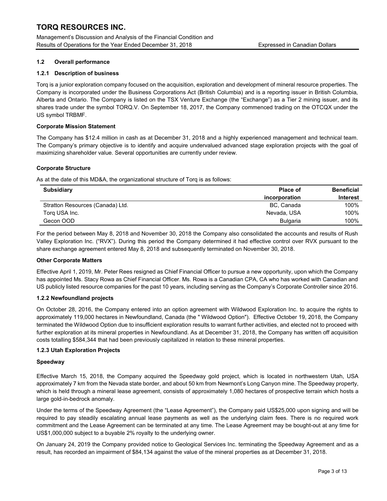Management's Discussion and Analysis of the Financial Condition and Results of Operations for the Year Ended December 31, 2018 Expressed in Canadian Dollars

# 1.2 Overall performance

# 1.2.1 Description of business

Torq is a junior exploration company focused on the acquisition, exploration and development of mineral resource properties. The Company is incorporated under the Business Corporations Act (British Columbia) and is a reporting issuer in British Columbia, Alberta and Ontario. The Company is listed on the TSX Venture Exchange (the "Exchange") as a Tier 2 mining issuer, and its shares trade under the symbol TORQ.V. On September 18, 2017, the Company commenced trading on the OTCQX under the US symbol TRBMF.

# Corporate Mission Statement

The Company has \$12.4 million in cash as at December 31, 2018 and a highly experienced management and technical team. The Company's primary objective is to identify and acquire undervalued advanced stage exploration projects with the goal of maximizing shareholder value. Several opportunities are currently under review.

# Corporate Structure

As at the date of this MD&A, the organizational structure of Torq is as follows:

| <b>Subsidiary</b>                | Place of      | <b>Beneficial</b> |
|----------------------------------|---------------|-------------------|
|                                  | incorporation | <b>Interest</b>   |
| Stratton Resources (Canada) Ltd. | BC, Canada    | 100%              |
| Torg USA Inc.                    | Nevada, USA   | 100%              |
| Gecon OOD                        | Bulgaria      | 100%              |

For the period between May 8, 2018 and November 30, 2018 the Company also consolidated the accounts and results of Rush Valley Exploration Inc. ("RVX"). During this period the Company determined it had effective control over RVX pursuant to the share exchange agreement entered May 8, 2018 and subsequently terminated on November 30, 2018.

# Other Corporate Matters

Effective April 1, 2019, Mr. Peter Rees resigned as Chief Financial Officer to pursue a new opportunity, upon which the Company has appointed Ms. Stacy Rowa as Chief Financial Officer. Ms. Rowa is a Canadian CPA, CA who has worked with Canadian and US publicly listed resource companies for the past 10 years, including serving as the Company's Corporate Controller since 2016.

# 1.2.2 Newfoundland projects

On October 28, 2016, the Company entered into an option agreement with Wildwood Exploration Inc. to acquire the rights to approximately 119,000 hectares in Newfoundland, Canada (the " Wildwood Option"). Effective October 19, 2018, the Company terminated the Wildwood Option due to insufficient exploration results to warrant further activities, and elected not to proceed with further exploration at its mineral properties in Newfoundland. As at December 31, 2018, the Company has written off acquisition costs totalling \$584,344 that had been previously capitalized in relation to these mineral properties.

# 1.2.3 Utah Exploration Projects

# Speedway

Effective March 15, 2018, the Company acquired the Speedway gold project, which is located in northwestern Utah, USA approximately 7 km from the Nevada state border, and about 50 km from Newmont's Long Canyon mine. The Speedway property, which is held through a mineral lease agreement, consists of approximately 1,080 hectares of prospective terrain which hosts a large gold-in-bedrock anomaly.

Under the terms of the Speedway Agreement (the "Lease Agreement"), the Company paid US\$25,000 upon signing and will be required to pay steadily escalating annual lease payments as well as the underlying claim fees. There is no required work commitment and the Lease Agreement can be terminated at any time. The Lease Agreement may be bought-out at any time for US\$1,000,000 subject to a buyable 2% royalty to the underlying owner.

On January 24, 2019 the Company provided notice to Geological Services Inc. terminating the Speedway Agreement and as a result, has recorded an impairment of \$84,134 against the value of the mineral properties as at December 31, 2018.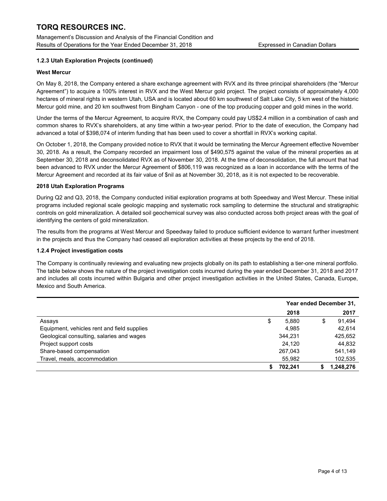Management's Discussion and Analysis of the Financial Condition and Results of Operations for the Year Ended December 31, 2018 Expressed in Canadian Dollars

# 1.2.3 Utah Exploration Projects (continued)

# West Mercur

On May 8, 2018, the Company entered a share exchange agreement with RVX and its three principal shareholders (the "Mercur Agreement") to acquire a 100% interest in RVX and the West Mercur gold project. The project consists of approximately 4,000 hectares of mineral rights in western Utah, USA and is located about 60 km southwest of Salt Lake City, 5 km west of the historic Mercur gold mine, and 20 km southwest from Bingham Canyon - one of the top producing copper and gold mines in the world.

Under the terms of the Mercur Agreement, to acquire RVX, the Company could pay US\$2.4 million in a combination of cash and common shares to RVX's shareholders, at any time within a two-year period. Prior to the date of execution, the Company had advanced a total of \$398,074 of interim funding that has been used to cover a shortfall in RVX's working capital.

On October 1, 2018, the Company provided notice to RVX that it would be terminating the Mercur Agreement effective November 30, 2018. As a result, the Company recorded an impairment loss of \$490,575 against the value of the mineral properties as at September 30, 2018 and deconsolidated RVX as of November 30, 2018. At the time of deconsolidation, the full amount that had been advanced to RVX under the Mercur Agreement of \$806,119 was recognized as a loan in accordance with the terms of the Mercur Agreement and recorded at its fair value of \$nil as at November 30, 2018, as it is not expected to be recoverable.

# 2018 Utah Exploration Programs

During Q2 and Q3, 2018, the Company conducted initial exploration programs at both Speedway and West Mercur. These initial programs included regional scale geologic mapping and systematic rock sampling to determine the structural and stratigraphic controls on gold mineralization. A detailed soil geochemical survey was also conducted across both project areas with the goal of identifying the centers of gold mineralization.

The results from the programs at West Mercur and Speedway failed to produce sufficient evidence to warrant further investment in the projects and thus the Company had ceased all exploration activities at these projects by the end of 2018.

# 1.2.4 Project investigation costs

The Company is continually reviewing and evaluating new projects globally on its path to establishing a tier-one mineral portfolio. The table below shows the nature of the project investigation costs incurred during the year ended December 31, 2018 and 2017 and includes all costs incurred within Bulgaria and other project investigation activities in the United States, Canada, Europe, Mexico and South America.

|                                             | Year ended December 31, |         |    |           |
|---------------------------------------------|-------------------------|---------|----|-----------|
|                                             |                         | 2018    |    | 2017      |
| Assays                                      | \$                      | 5,880   | \$ | 91,494    |
| Equipment, vehicles rent and field supplies |                         | 4.985   |    | 42.614    |
| Geological consulting, salaries and wages   |                         | 344.231 |    | 425,652   |
| Project support costs                       |                         | 24.120  |    | 44,832    |
| Share-based compensation                    |                         | 267,043 |    | 541,149   |
| Travel, meals, accommodation                |                         | 55,982  |    | 102,535   |
|                                             |                         | 702.241 |    | 1,248,276 |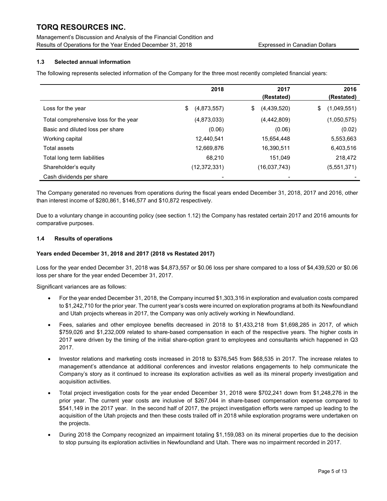Management's Discussion and Analysis of the Financial Condition and Results of Operations for the Year Ended December 31, 2018 Expressed in Canadian Dollars

# 1.3 Selected annual information

The following represents selected information of the Company for the three most recently completed financial years:

|                                       | 2018              | 2017                | 2016              |
|---------------------------------------|-------------------|---------------------|-------------------|
|                                       |                   | (Restated)          | (Restated)        |
| Loss for the year                     | \$<br>(4,873,557) | \$<br>(4, 439, 520) | \$<br>(1,049,551) |
| Total comprehensive loss for the year | (4,873,033)       | (4,442,809)         | (1,050,575)       |
| Basic and diluted loss per share      | (0.06)            | (0.06)              | (0.02)            |
| Working capital                       | 12,440,541        | 15,654,448          | 5,553,663         |
| Total assets                          | 12,669,876        | 16,390,511          | 6,403,516         |
| Total long term liabilities           | 68.210            | 151.049             | 218,472           |
| Shareholder's equity                  | (12, 372, 331)    | (16,037,743)        | (5,551,371)       |
| Cash dividends per share              |                   |                     |                   |

The Company generated no revenues from operations during the fiscal years ended December 31, 2018, 2017 and 2016, other than interest income of \$280,861, \$146,577 and \$10,872 respectively.

Due to a voluntary change in accounting policy (see section 1.12) the Company has restated certain 2017 and 2016 amounts for comparative purposes.

# 1.4 Results of operations

# Years ended December 31, 2018 and 2017 (2018 vs Restated 2017)

Loss for the year ended December 31, 2018 was \$4,873,557 or \$0.06 loss per share compared to a loss of \$4,439,520 or \$0.06 loss per share for the year ended December 31, 2017.

Significant variances are as follows:

- For the year ended December 31, 2018, the Company incurred \$1,303,316 in exploration and evaluation costs compared to \$1,242,710 for the prior year. The current year's costs were incurred on exploration programs at both its Newfoundland and Utah projects whereas in 2017, the Company was only actively working in Newfoundland.
- Fees, salaries and other employee benefits decreased in 2018 to \$1,433,218 from \$1,698,285 in 2017, of which \$759,026 and \$1,232,009 related to share-based compensation in each of the respective years. The higher costs in 2017 were driven by the timing of the initial share-option grant to employees and consultants which happened in Q3 2017.
- Investor relations and marketing costs increased in 2018 to \$376,545 from \$68,535 in 2017. The increase relates to management's attendance at additional conferences and investor relations engagements to help communicate the Company's story as it continued to increase its exploration activities as well as its mineral property investigation and acquisition activities.
- Total project investigation costs for the year ended December 31, 2018 were \$702,241 down from \$1,248,276 in the prior year. The current year costs are inclusive of \$267,044 in share-based compensation expense compared to \$541,149 in the 2017 year. In the second half of 2017, the project investigation efforts were ramped up leading to the acquisition of the Utah projects and then these costs trailed off in 2018 while exploration programs were undertaken on the projects.
- During 2018 the Company recognized an impairment totaling \$1,159,083 on its mineral properties due to the decision to stop pursuing its exploration activities in Newfoundland and Utah. There was no impairment recorded in 2017.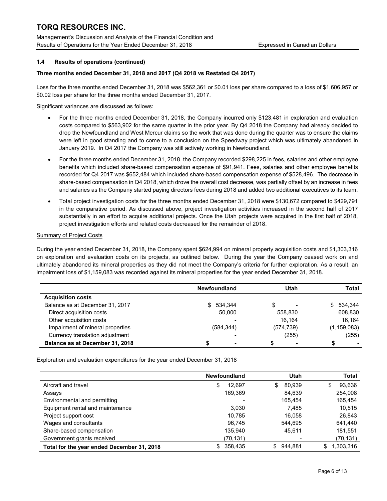Management's Discussion and Analysis of the Financial Condition and Results of Operations for the Year Ended December 31, 2018 Expressed in Canadian Dollars

# 1.4 Results of operations (continued)

# Three months ended December 31, 2018 and 2017 (Q4 2018 vs Restated Q4 2017)

Loss for the three months ended December 31, 2018 was \$562,361 or \$0.01 loss per share compared to a loss of \$1,606,957 or \$0.02 loss per share for the three months ended December 31, 2017.

Significant variances are discussed as follows:

- For the three months ended December 31, 2018, the Company incurred only \$123,481 in exploration and evaluation costs compared to \$563,902 for the same quarter in the prior year. By Q4 2018 the Company had already decided to drop the Newfoundland and West Mercur claims so the work that was done during the quarter was to ensure the claims were left in good standing and to come to a conclusion on the Speedway project which was ultimately abandoned in January 2019. In Q4 2017 the Company was still actively working in Newfoundland.
- For the three months ended December 31, 2018, the Company recorded \$298,225 in fees, salaries and other employee benefits which included share-based compensation expense of \$91,941. Fees, salaries and other employee benefits recorded for Q4 2017 was \$652,484 which included share-based compensation expense of \$528,496. The decrease in share-based compensation in Q4 2018, which drove the overall cost decrease, was partially offset by an increase in fees and salaries as the Company started paying directors fees during 2018 and added two additional executives to its team.
- Total project investigation costs for the three months ended December 31, 2018 were \$130,672 compared to \$429,791 in the comparative period. As discussed above, project investigation activities increased in the second half of 2017 substantially in an effort to acquire additional projects. Once the Utah projects were acquired in the first half of 2018, project investigation efforts and related costs decreased for the remainder of 2018.

# Summary of Project Costs

During the year ended December 31, 2018, the Company spent \$624,994 on mineral property acquisition costs and \$1,303,316 on exploration and evaluation costs on its projects, as outlined below. During the year the Company ceased work on and ultimately abandoned its mineral properties as they did not meet the Company's criteria for further exploration. As a result, an impairment loss of \$1,159,083 was recorded against its mineral properties for the year ended December 31, 2018.

|                                  | <b>Newfoundland</b> | Utah       | Total         |
|----------------------------------|---------------------|------------|---------------|
| <b>Acquisition costs</b>         |                     |            |               |
| Balance as at December 31, 2017  | 534,344<br>S.       | S          | \$ 534.344    |
| Direct acquisition costs         | 50,000              | 558,830    | 608,830       |
| Other acquisition costs          |                     | 16.164     | 16.164        |
| Impairment of mineral properties | (584, 344)          | (574, 739) | (1, 159, 083) |
| Currency translation adjustment  |                     | (255)      | (255)         |
| Balance as at December 31, 2018  | -                   |            |               |

Exploration and evaluation expenditures for the year ended December 31, 2018

|                                            | <b>Newfoundland</b> | <b>Utah</b>   | <b>Total</b>   |
|--------------------------------------------|---------------------|---------------|----------------|
| Aircraft and travel                        | 12,697<br>\$        | 80,939<br>\$. | 93,636<br>9    |
| Assays                                     | 169,369             | 84,639        | 254,008        |
| Environmental and permitting               |                     | 165.454       | 165,454        |
| Equipment rental and maintenance           | 3,030               | 7.485         | 10,515         |
| Project support cost                       | 10,785              | 16.058        | 26,843         |
| Wages and consultants                      | 96.745              | 544.695       | 641,440        |
| Share-based compensation                   | 135,940             | 45.611        | 181,551        |
| Government grants received                 | (70,131)            |               | (70,131)       |
| Total for the year ended December 31, 2018 | 358,435<br>\$.      | 944,881<br>\$ | 1,303,316<br>S |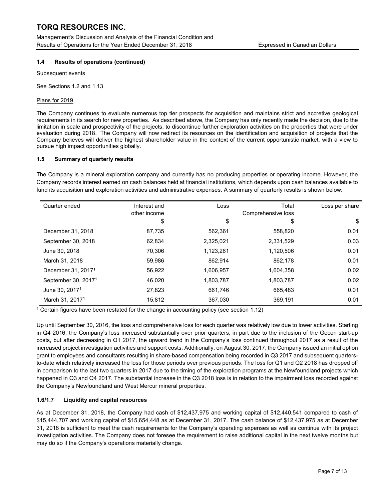Management's Discussion and Analysis of the Financial Condition and Results of Operations for the Year Ended December 31, 2018 Expressed in Canadian Dollars

# 1.4 Results of operations (continued)

# Subsequent events

See Sections 1.2 and 1.13

# Plans for 2019

The Company continues to evaluate numerous top tier prospects for acquisition and maintains strict and accretive geological requirements in its search for new properties. As described above, the Company has only recently made the decision, due to the limitation in scale and prospectivity of the projects, to discontinue further exploration activities on the properties that were under evaluation during 2018. The Company will now redirect its resources on the identification and acquisition of projects that the Company believes will deliver the highest shareholder value in the context of the current opportunistic market, with a view to pursue high impact opportunities globally.

#### 1.5 Summary of quarterly results

The Company is a mineral exploration company and currently has no producing properties or operating income. However, the Company records interest earned on cash balances held at financial institutions, which depends upon cash balances available to fund its acquisition and exploration activities and administrative expenses. A summary of quarterly results is shown below:

| Quarter ended                   | Interest and | Loss      | Total              | Loss per share |
|---------------------------------|--------------|-----------|--------------------|----------------|
|                                 | other income |           | Comprehensive loss |                |
|                                 | \$           | \$        | \$                 | \$             |
| December 31, 2018               | 87,735       | 562,361   | 558,820            | 0.01           |
| September 30, 2018              | 62.834       | 2,325,021 | 2,331,529          | 0.03           |
| June 30, 2018                   | 70.306       | 1,123,261 | 1,120,506          | 0.01           |
| March 31, 2018                  | 59,986       | 862.914   | 862.178            | 0.01           |
| December 31, 2017 <sup>1</sup>  | 56,922       | 1,606,957 | 1,604,358          | 0.02           |
| September 30, 2017 <sup>1</sup> | 46.020       | 1,803,787 | 1,803,787          | 0.02           |
| June 30, 2017 <sup>1</sup>      | 27,823       | 661,746   | 665,483            | 0.01           |
| March 31, 2017 <sup>1</sup>     | 15,812       | 367,030   | 369,191            | 0.01           |

1 Certain figures have been restated for the change in accounting policy (see section 1.12)

Up until September 30, 2016, the loss and comprehensive loss for each quarter was relatively low due to lower activities. Starting in Q4 2016, the Company's loss increased substantially over prior quarters, in part due to the inclusion of the Gecon start-up costs, but after decreasing in Q1 2017, the upward trend in the Company's loss continued throughout 2017 as a result of the increased project investigation activities and support costs. Additionally, on August 30, 2017, the Company issued an initial option grant to employees and consultants resulting in share-based compensation being recorded in Q3 2017 and subsequent quartersto-date which relatively increased the loss for those periods over previous periods. The loss for Q1 and Q2 2018 has dropped off in comparison to the last two quarters in 2017 due to the timing of the exploration programs at the Newfoundland projects which happened in Q3 and Q4 2017. The substantial increase in the Q3 2018 loss is in relation to the impairment loss recorded against the Company's Newfoundland and West Mercur mineral properties.

# 1.6/1.7 Liquidity and capital resources

As at December 31, 2018, the Company had cash of \$12,437,975 and working capital of \$12,440,541 compared to cash of \$15,444,707 and working capital of \$15,654,448 as at December 31, 2017. The cash balance of \$12,437,975 as at December 31, 2018 is sufficient to meet the cash requirements for the Company's operating expenses as well as continue with its project investigation activities. The Company does not foresee the requirement to raise additional capital in the next twelve months but may do so if the Company's operations materially change.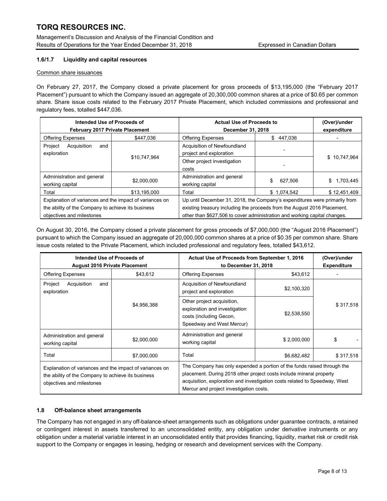Management's Discussion and Analysis of the Financial Condition and Results of Operations for the Year Ended December 31, 2018 **Expressed in Canadian Dollars** Expressed in Canadian Dollars

# 1.6/1.7 Liquidity and capital resources

#### Common share issuances

On February 27, 2017, the Company closed a private placement for gross proceeds of \$13,195,000 (the "February 2017 Placement") pursuant to which the Company issued an aggregate of 20,300,000 common shares at a price of \$0.65 per common share. Share issue costs related to the February 2017 Private Placement, which included commissions and professional and regulatory fees, totalled \$447,036.

| Intended Use of Proceeds of<br>February 2017 Private Placement                                                                             |                                                        | <b>Actual Use of Proceeds to</b><br>December 31, 2018                                                                                                                                                                               |               | (Over)/under<br>expenditure |
|--------------------------------------------------------------------------------------------------------------------------------------------|--------------------------------------------------------|-------------------------------------------------------------------------------------------------------------------------------------------------------------------------------------------------------------------------------------|---------------|-----------------------------|
| <b>Offering Expenses</b>                                                                                                                   | \$447.036                                              | <b>Offering Expenses</b>                                                                                                                                                                                                            | \$447,036     |                             |
| Project<br>Acquisition<br>and<br>exploration                                                                                               | Acquisition of Newfoundland<br>project and exploration |                                                                                                                                                                                                                                     |               |                             |
|                                                                                                                                            | \$10,747,964                                           | Other project investigation<br>costs                                                                                                                                                                                                |               | \$10,747,964                |
| Administration and general<br>working capital                                                                                              | \$2,000,000                                            | Administration and general<br>working capital                                                                                                                                                                                       | 627.506<br>\$ | \$1.703.445                 |
| Total                                                                                                                                      | \$13.195.000                                           | Total                                                                                                                                                                                                                               | \$1.074.542   | \$12,451,409                |
| Explanation of variances and the impact of variances on<br>the ability of the Company to achieve its business<br>objectives and milestones |                                                        | Up until December 31, 2018, the Company's expenditures were primarily from<br>existing treasury including the proceeds from the August 2016 Placement,<br>other than \$627,506 to cover administration and working capital changes. |               |                             |

On August 30, 2016, the Company closed a private placement for gross proceeds of \$7,000,000 (the "August 2016 Placement") pursuant to which the Company issued an aggregate of 20,000,000 common shares at a price of \$0.35 per common share. Share issue costs related to the Private Placement, which included professional and regulatory fees, totalled \$43,612.

| Intended Use of Proceeds of<br><b>August 2016 Private Placement</b>                                                                        |             | Actual Use of Proceeds from September 1, 2016<br>to December 31, 2018                                                                                                                                                                                                   |             |           |  | (Over)/under<br><b>Expenditure</b> |
|--------------------------------------------------------------------------------------------------------------------------------------------|-------------|-------------------------------------------------------------------------------------------------------------------------------------------------------------------------------------------------------------------------------------------------------------------------|-------------|-----------|--|------------------------------------|
| <b>Offering Expenses</b>                                                                                                                   | \$43,612    | <b>Offering Expenses</b>                                                                                                                                                                                                                                                | \$43,612    |           |  |                                    |
| Acquisition<br>Project<br>and<br>exploration                                                                                               |             | Acquisition of Newfoundland<br>project and exploration                                                                                                                                                                                                                  | \$2,100,320 |           |  |                                    |
|                                                                                                                                            | \$4,956,388 | Other project acquisition,<br>exploration and investigation<br>costs (including Gecon,<br>Speedway and West Mercur)                                                                                                                                                     | \$2,538,550 | \$317,518 |  |                                    |
| Administration and general<br>working capital                                                                                              | \$2,000,000 | Administration and general<br>working capital                                                                                                                                                                                                                           | \$2,000,000 | \$        |  |                                    |
| Total                                                                                                                                      | \$7,000,000 | Total                                                                                                                                                                                                                                                                   | \$6,682,482 | \$317,518 |  |                                    |
| Explanation of variances and the impact of variances on<br>the ability of the Company to achieve its business<br>objectives and milestones |             | The Company has only expended a portion of the funds raised through the<br>placement. During 2018 other project costs include mineral property<br>acquisition, exploration and investigation costs related to Speedway, West<br>Mercur and project investigation costs. |             |           |  |                                    |

# 1.8 Off-balance sheet arrangements

The Company has not engaged in any off-balance-sheet arrangements such as obligations under guarantee contracts, a retained or contingent interest in assets transferred to an unconsolidated entity, any obligation under derivative instruments or any obligation under a material variable interest in an unconsolidated entity that provides financing, liquidity, market risk or credit risk support to the Company or engages in leasing, hedging or research and development services with the Company.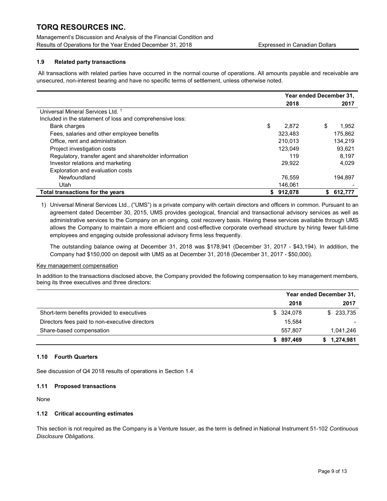Management's Discussion and Analysis of the Financial Condition and Results of Operations for the Year Ended December 31, 2018 **Expressed in Canadian Dollars** Expressed in Canadian Dollars

# 1.9 Related party transactions

All transactions with related parties have occurred in the normal course of operations. All amounts payable and receivable are unsecured, non-interest bearing and have no specific terms of settlement, unless otherwise noted.

|                                                           | Year ended December 31, |           |    |         |
|-----------------------------------------------------------|-------------------------|-----------|----|---------|
|                                                           |                         | 2018      |    | 2017    |
| Universal Mineral Services Ltd. <sup>1</sup>              |                         |           |    |         |
| Included in the statement of loss and comprehensive loss: |                         |           |    |         |
| <b>Bank charges</b>                                       | \$                      | 2,872     | S  | 1,952   |
| Fees, salaries and other employee benefits                |                         | 323.483   |    | 175,862 |
| Office, rent and administration                           |                         | 210.013   |    | 134.219 |
| Project investigation costs                               |                         | 123.049   |    | 93.621  |
| Regulatory, transfer agent and shareholder information    |                         | 119       |    | 8.197   |
| Investor relations and marketing                          |                         | 29,922    |    | 4,029   |
| Exploration and evaluation costs                          |                         |           |    |         |
| Newfoundland                                              |                         | 76.559    |    | 194.897 |
| Utah                                                      |                         | 146.061   |    |         |
| Total transactions for the years                          |                         | \$912,078 | \$ | 612,777 |

1) Universal Mineral Services Ltd., ("UMS") is a private company with certain directors and officers in common. Pursuant to an agreement dated December 30, 2015, UMS provides geological, financial and transactional advisory services as well as administrative services to the Company on an ongoing, cost recovery basis. Having these services available through UMS allows the Company to maintain a more efficient and cost-effective corporate overhead structure by hiring fewer full-time employees and engaging outside professional advisory firms less frequently.

The outstanding balance owing at December 31, 2018 was \$178,941 (December 31, 2017 - \$43,194). In addition, the Company had \$150,000 on deposit with UMS as at December 31, 2018 (December 31, 2017 - \$50,000).

Key management compensation

In addition to the transactions disclosed above, the Company provided the following compensation to key management members, being its three executives and three directors:

|                                                | Year ended December 31, |             |  |
|------------------------------------------------|-------------------------|-------------|--|
|                                                | 2018                    | 2017        |  |
| Short-term benefits provided to executives     | \$324,078               | \$233,735   |  |
| Directors fees paid to non-executive directors | 15.584                  |             |  |
| Share-based compensation                       | 557.807                 | 1,041,246   |  |
|                                                | 897,469<br>S.           | \$1,274,981 |  |

# 1.10 Fourth Quarters

See discussion of Q4 2018 results of operations in Section 1.4

# 1.11 Proposed transactions

None

# 1.12 Critical accounting estimates

This section is not required as the Company is a Venture Issuer, as the term is defined in National Instrument 51-102 Continuous Disclosure Obligations.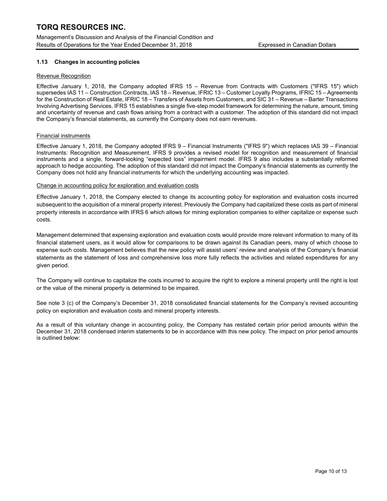# 1.13 Changes in accounting policies

#### Revenue Recognition

Effective January 1, 2018, the Company adopted IFRS 15 – Revenue from Contracts with Customers ("IFRS 15") which supersedes IAS 11 – Construction Contracts, IAS 18 – Revenue, IFRIC 13 – Customer Loyalty Programs, IFRIC 15 – Agreements for the Construction of Real Estate, IFRIC 18 – Transfers of Assets from Customers, and SIC 31 – Revenue – Barter Transactions Involving Advertising Services. IFRS 15 establishes a single five-step model framework for determining the nature, amount, timing and uncertainty of revenue and cash flows arising from a contract with a customer. The adoption of this standard did not impact the Company's financial statements, as currently the Company does not earn revenues.

# Financial instruments

Effective January 1, 2018, the Company adopted IFRS 9 – Financial Instruments ("IFRS 9") which replaces IAS 39 – Financial Instruments: Recognition and Measurement. IFRS 9 provides a revised model for recognition and measurement of financial instruments and a single, forward-looking "expected loss" impairment model. IFRS 9 also includes a substantially reformed approach to hedge accounting. The adoption of this standard did not impact the Company's financial statements as currently the Company does not hold any financial instruments for which the underlying accounting was impacted.

#### Change in accounting policy for exploration and evaluation costs

Effective January 1, 2018, the Company elected to change its accounting policy for exploration and evaluation costs incurred subsequent to the acquisition of a mineral property interest. Previously the Company had capitalized these costs as part of mineral property interests in accordance with IFRS 6 which allows for mining exploration companies to either capitalize or expense such costs.

Management determined that expensing exploration and evaluation costs would provide more relevant information to many of its financial statement users, as it would allow for comparisons to be drawn against its Canadian peers, many of which choose to expense such costs. Management believes that the new policy will assist users' review and analysis of the Company's financial statements as the statement of loss and comprehensive loss more fully reflects the activities and related expenditures for any given period.

The Company will continue to capitalize the costs incurred to acquire the right to explore a mineral property until the right is lost or the value of the mineral property is determined to be impaired.

See note 3 (c) of the Company's December 31, 2018 consolidated financial statements for the Company's revised accounting policy on exploration and evaluation costs and mineral property interests.

As a result of this voluntary change in accounting policy, the Company has restated certain prior period amounts within the December 31, 2018 condensed interim statements to be in accordance with this new policy. The impact on prior period amounts is outlined below: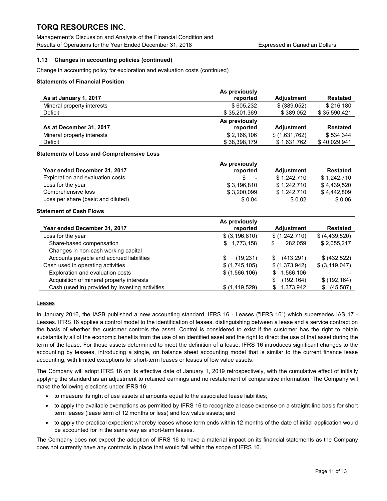Management's Discussion and Analysis of the Financial Condition and Results of Operations for the Year Ended December 31, 2018 Expressed in Canadian Dollars

# 1.13 Changes in accounting policies (continued)

Change in accounting policy for exploration and evaluation costs (continued)

# Statements of Financial Position

|                            | As previously |                   |                 |
|----------------------------|---------------|-------------------|-----------------|
| As at January 1, 2017      | reported      | <b>Adiustment</b> | <b>Restated</b> |
| Mineral property interests | \$605,232     | \$ (389.052)      | \$216.180       |
| Deficit                    | \$35,201,369  | \$389,052         | \$35,590,421    |
|                            | As previously |                   |                 |
| As at December 31, 2017    | reported      | <b>Adiustment</b> | <b>Restated</b> |
| Mineral property interests | \$2,166,106   | \$(1,631,762)     | \$534.344       |
| Deficit                    | \$38,398,179  | \$1,631,762       | \$40,029,941    |

#### Statements of Loss and Comprehensive Loss

|                                    | As previously                   |             |             |
|------------------------------------|---------------------------------|-------------|-------------|
| Year ended December 31, 2017       | reported                        | Adiustment  | Restated    |
| Exploration and evaluation costs   | \$.<br>$\overline{\phantom{a}}$ | \$1.242.710 | \$1.242.710 |
| Loss for the year                  | \$3,196,810                     | \$1.242.710 | \$4.439.520 |
| Comprehensive loss                 | \$3,200,099                     | \$1.242.710 | \$4,442,809 |
| Loss per share (basic and diluted) | \$0.04                          | \$ 0.02     | \$0.06      |

#### Statement of Cash Flows

|                                                 | As previously    |                   |                  |
|-------------------------------------------------|------------------|-------------------|------------------|
| Year ended December 31, 2017                    | reported         | <b>Adjustment</b> | <b>Restated</b>  |
| Loss for the year                               | \$ (3, 196, 810) | \$(1,242,710)     | \$ (4,439,520)   |
| Share-based compensation                        | \$1,773,158      | 282.059<br>\$     | \$2,055,217      |
| Changes in non-cash working capital             |                  |                   |                  |
| Accounts payable and accrued liabilities        | (19,231)<br>\$.  | \$ (413,291)      | \$(432,522)      |
| Cash used in operating activities               | \$(1,745,105)    | \$(1,373,942)     | \$ (3, 119, 047) |
| Exploration and evaluation costs                | \$(1, 566, 106)  | \$1,566,106       |                  |
| Acquisition of mineral property interests       |                  | (192, 164)<br>\$. | \$(192, 164)     |
| Cash (used in) provided by investing activities | \$(1,419,529)    | \$1,373,942       | (45, 587)<br>\$  |

#### **Leases**

In January 2016, the IASB published a new accounting standard, IFRS 16 - Leases ("IFRS 16") which supersedes IAS 17 - Leases. IFRS 16 applies a control model to the identification of leases, distinguishing between a lease and a service contract on the basis of whether the customer controls the asset. Control is considered to exist if the customer has the right to obtain substantially all of the economic benefits from the use of an identified asset and the right to direct the use of that asset during the term of the lease. For those assets determined to meet the definition of a lease, IFRS 16 introduces significant changes to the accounting by lessees, introducing a single, on balance sheet accounting model that is similar to the current finance lease accounting, with limited exceptions for short-term leases or leases of low value assets.

The Company will adopt IFRS 16 on its effective date of January 1, 2019 retrospectively, with the cumulative effect of initially applying the standard as an adjustment to retained earnings and no restatement of comparative information. The Company will make the following elections under IFRS 16:

- to measure its right of use assets at amounts equal to the associated lease liabilities;
- to apply the available exemptions as permitted by IFRS 16 to recognize a lease expense on a straight-line basis for short term leases (lease term of 12 months or less) and low value assets; and
- to apply the practical expedient whereby leases whose term ends within 12 months of the date of initial application would be accounted for in the same way as short-term leases.

The Company does not expect the adoption of IFRS 16 to have a material impact on its financial statements as the Company does not currently have any contracts in place that would fall within the scope of IFRS 16.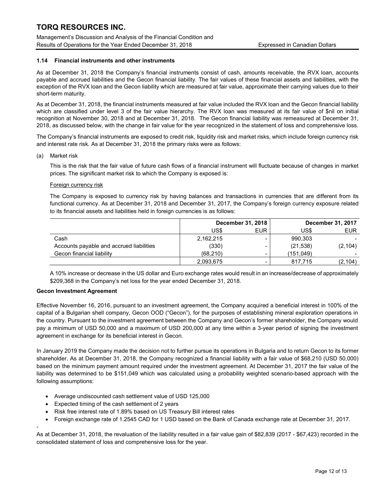Management's Discussion and Analysis of the Financial Condition and Results of Operations for the Year Ended December 31, 2018 Expressed in Canadian Dollars

# 1.14 Financial instruments and other instruments

As at December 31, 2018 the Company's financial instruments consist of cash, amounts receivable, the RVX loan, accounts payable and accrued liabilities and the Gecon financial liability. The fair values of these financial assets and liabilities, with the exception of the RVX loan and the Gecon liability which are measured at fair value, approximate their carrying values due to their short-term maturity.

As at December 31, 2018, the financial instruments measured at fair value included the RVX loan and the Gecon financial liability which are classified under level 3 of the fair value hierarchy. The RVX loan was measured at its fair value of \$nil on initial recognition at November 30, 2018 and at December 31, 2018. The Gecon financial liability was remeasured at December 31, 2018, as discussed below, with the change in fair value for the year recognized in the statement of loss and comprehensive loss.

The Company's financial instruments are exposed to credit risk, liquidity risk and market risks, which include foreign currency risk and interest rate risk. As at December 31, 2018 the primary risks were as follows:

(a) Market risk

This is the risk that the fair value of future cash flows of a financial instrument will fluctuate because of changes in market prices. The significant market risk to which the Company is exposed is:

#### Foreign currency risk

The Company is exposed to currency risk by having balances and transactions in currencies that are different from its functional currency. As at December 31, 2018 and December 31, 2017, the Company's foreign currency exposure related to its financial assets and liabilities held in foreign currencies is as follows:

|                                          |           | <b>December 31, 2018</b> |           | December 31, 2017 |  |
|------------------------------------------|-----------|--------------------------|-----------|-------------------|--|
|                                          | US\$      | <b>EUR</b>               | US\$      | <b>EUR</b>        |  |
| Cash                                     | 2,162,215 | -                        | 990.303   |                   |  |
| Accounts payable and accrued liabilities | (330)     | -                        | (21, 538) | (2, 104)          |  |
| Gecon financial liability                | (68, 210) | $\overline{\phantom{0}}$ | (151,049) |                   |  |
|                                          | 2,093,675 | $\overline{\phantom{0}}$ | 817.715   | (2, 104)          |  |

A 10% increase or decrease in the US dollar and Euro exchange rates would result in an increase/decrease of approximately \$209,368 in the Company's net loss for the year ended December 31, 2018.

# Gecon Investment Agreement

-

Effective November 16, 2016, pursuant to an investment agreement, the Company acquired a beneficial interest in 100% of the capital of a Bulgarian shell company, Gecon OOD ("Gecon"), for the purposes of establishing mineral exploration operations in the country. Pursuant to the investment agreement between the Company and Gecon's former shareholder, the Company would pay a minimum of USD 50,000 and a maximum of USD 200,000 at any time within a 3-year period of signing the investment agreement in exchange for its beneficial interest in Gecon.

In January 2019 the Company made the decision not to further pursue its operations in Bulgaria and to return Gecon to its former shareholder. As at December 31, 2018, the Company recognized a financial liability with a fair value of \$68,210 (USD 50,000) based on the minimum payment amount required under the investment agreement. At December 31, 2017 the fair value of the liability was determined to be \$151,049 which was calculated using a probability weighted scenario-based approach with the following assumptions:

- Average undiscounted cash settlement value of USD 125,000
- Expected timing of the cash settlement of 2 years
- Risk free interest rate of 1.89% based on US Treasury Bill interest rates
- Foreign exchange rate of 1.2545 CAD for 1 USD based on the Bank of Canada exchange rate at December 31, 2017.

As at December 31, 2018, the revaluation of the liability resulted in a fair value gain of \$82,839 (2017 - \$67,423) recorded in the consolidated statement of loss and comprehensive loss for the year.